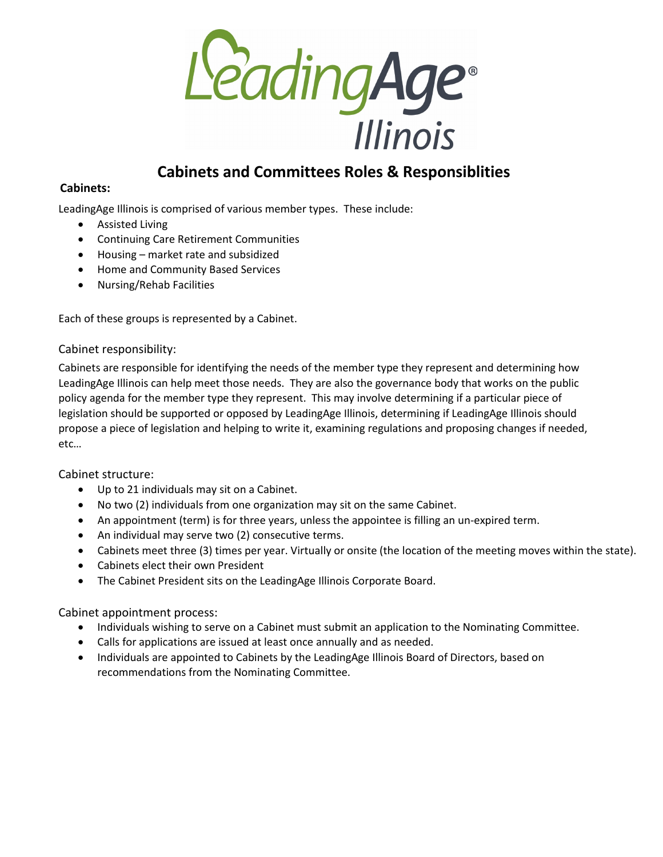

# **Cabinets and Committees Roles & Responsiblities**

#### **Cabinets:**

LeadingAge Illinois is comprised of various member types. These include:

- Assisted Living
- Continuing Care Retirement Communities
- Housing market rate and subsidized
- Home and Community Based Services
- Nursing/Rehab Facilities

Each of these groups is represented by a Cabinet.

#### Cabinet responsibility:

Cabinets are responsible for identifying the needs of the member type they represent and determining how LeadingAge Illinois can help meet those needs. They are also the governance body that works on the public policy agenda for the member type they represent. This may involve determining if a particular piece of legislation should be supported or opposed by LeadingAge Illinois, determining if LeadingAge Illinois should propose a piece of legislation and helping to write it, examining regulations and proposing changes if needed, etc…

#### Cabinet structure:

- Up to 21 individuals may sit on a Cabinet.
- No two (2) individuals from one organization may sit on the same Cabinet.
- An appointment (term) is for three years, unless the appointee is filling an un-expired term.
- An individual may serve two (2) consecutive terms.
- Cabinets meet three (3) times per year. Virtually or onsite (the location of the meeting moves within the state).
- Cabinets elect their own President
- The Cabinet President sits on the LeadingAge Illinois Corporate Board.

#### Cabinet appointment process:

- Individuals wishing to serve on a Cabinet must submit an application to the Nominating Committee.
- Calls for applications are issued at least once annually and as needed.
- Individuals are appointed to Cabinets by the LeadingAge Illinois Board of Directors, based on recommendations from the Nominating Committee.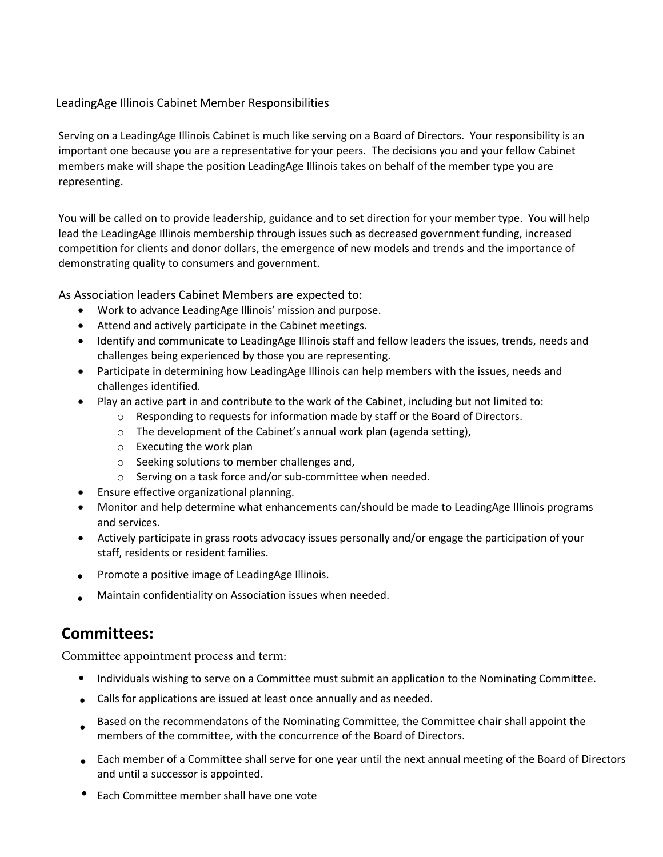#### LeadingAge Illinois Cabinet Member Responsibilities

Serving on a LeadingAge Illinois Cabinet is much like serving on a Board of Directors. Your responsibility is an important one because you are a representative for your peers. The decisions you and your fellow Cabinet members make will shape the position LeadingAge Illinois takes on behalf of the member type you are representing.

You will be called on to provide leadership, guidance and to set direction for your member type. You will help lead the LeadingAge Illinois membership through issues such as decreased government funding, increased competition for clients and donor dollars, the emergence of new models and trends and the importance of demonstrating quality to consumers and government.

As Association leaders Cabinet Members are expected to:

- Work to advance LeadingAge Illinois' mission and purpose.
- Attend and actively participate in the Cabinet meetings.
- Identify and communicate to LeadingAge Illinois staff and fellow leaders the issues, trends, needs and challenges being experienced by those you are representing.
- Participate in determining how LeadingAge Illinois can help members with the issues, needs and challenges identified.
- Play an active part in and contribute to the work of the Cabinet, including but not limited to:
	- o Responding to requests for information made by staff or the Board of Directors.
	- o The development of the Cabinet's annual work plan (agenda setting),
	- o Executing the work plan
	- o Seeking solutions to member challenges and,
	- o Serving on a task force and/or sub-committee when needed.
- Ensure effective organizational planning.
- Monitor and help determine what enhancements can/should be made to LeadingAge Illinois programs and services.
- Actively participate in grass roots advocacy issues personally and/or engage the participation of your staff, residents or resident families.
- Promote a positive image of LeadingAge Illinois.
- Maintain confidentiality on Association issues when needed.

## **Committees:**

Committee appointment process and term:

- Individuals wishing to serve on a Committee must submit an application to the Nominating Committee.
- Calls for applications are issued at least once annually and as needed.
- Based on the recommendatons of the Nominating Committee, the Committee chair shall appoint the members of the committee, with the concurrence of the Board of Directors.
- Each member of a Committee shall serve for one year until the next annual meeting of the Board of Directors and until a successor is appointed.
- Each Committee member shall have one vote